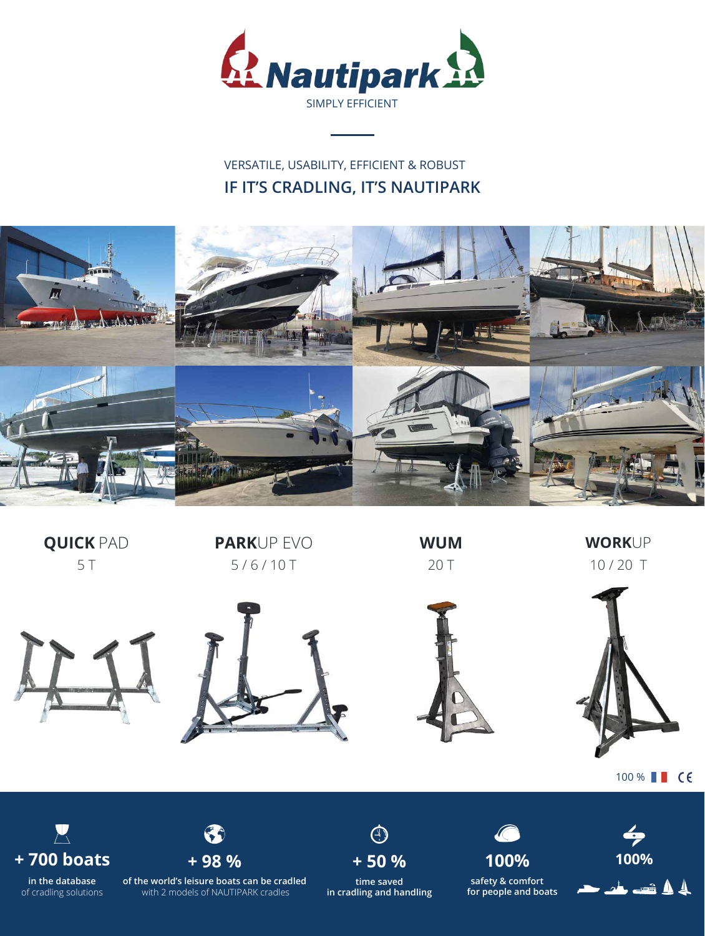

## **IF IT'S CRADLING, IT'S NAUTIPARK** VERSATILE, USABILITY, EFFICIENT & ROBUST





100 % **CE** 

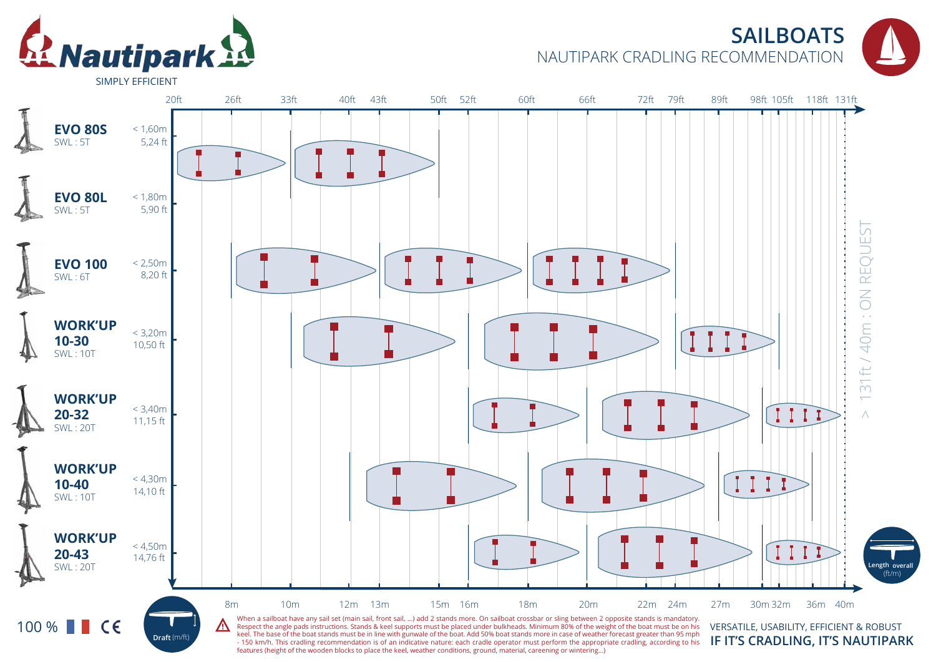

## **SAILBOATS** NAUTIPARK CRADLING RECOMMENDATION